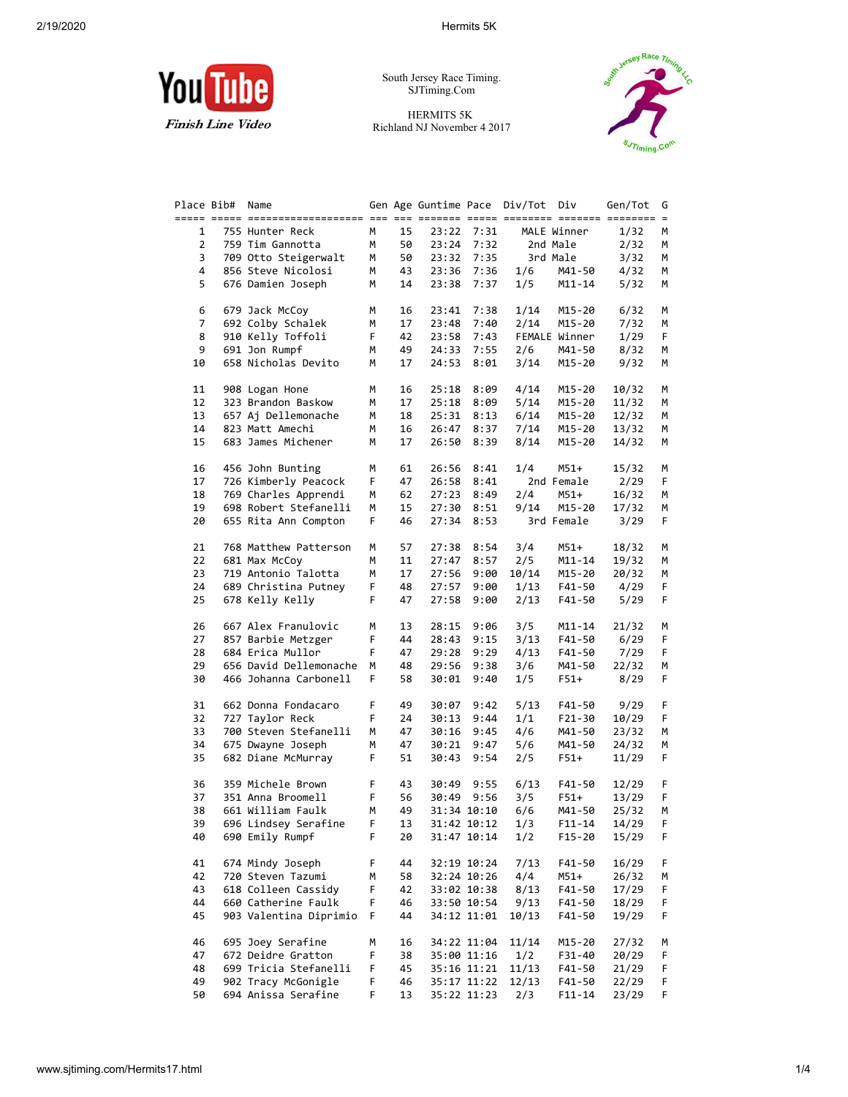## 2/19/2020 Hermits 5K



South Jersey Race Timing. SJTiming.Com

HERMITS 5K Richland NJ November 4 2017



| Place Bib#     | Name                                      |    |    | Gen Age Guntime Pace           |             | Div/Tot Div                 |                          | Gen/Tot | G        |
|----------------|-------------------------------------------|----|----|--------------------------------|-------------|-----------------------------|--------------------------|---------|----------|
| 1              | ===== ===== ==========<br>755 Hunter Reck | М  | 15 | --- --- ------- -----<br>23:22 | 7:31        | $=$ $=$ $=$ $=$ $=$ $=$ $=$ | ====== ==<br>MALE Winner | 1/32    | $=$<br>м |
| 2              | 759 Tim Gannotta                          | м  | 50 | 23:24                          | 7:32        |                             | 2nd Male                 | 2/32    | м        |
| 3              | 709 Otto Steigerwalt                      | М  | 50 | 23:32                          | 7:35        |                             | 3rd Male                 | 3/32    | м        |
| 4              | 856 Steve Nicolosi                        | М  | 43 | 23:36                          | 7:36        | 1/6                         | M41-50                   | 4/32    | м        |
| 5              | 676 Damien Joseph                         | М  | 14 | 23:38                          | 7:37        | 1/5                         | M11-14                   | 5/32    | м        |
| 6              | 679 Jack McCoy                            | м  | 16 | 23:41                          | 7:38        | 1/14                        | M15-20                   | 6/32    | м        |
| $\overline{7}$ | 692 Colby Schalek                         | м  | 17 | 23:48                          | 7:40        | 2/14                        | M15-20                   | 7/32    | м        |
| 8              | 910 Kelly Toffoli                         | F  | 42 | 23:58                          | 7:43        |                             | FEMALE Winner            | 1/29    | F        |
| 9              | 691 Jon Rumpf                             | м  | 49 | 24:33                          | 7:55        | 2/6                         | M41-50                   | 8/32    | м        |
| 10             | 658 Nicholas Devito                       | М  | 17 | 24:53                          | 8:01        | 3/14                        | M15-20                   | 9/32    | м        |
| 11             | 908 Logan Hone                            | м  | 16 | 25:18                          | 8:09        | 4/14                        | M15-20                   | 10/32   | М        |
| 12             | 323 Brandon Baskow                        | м  | 17 | 25:18                          | 8:09        | 5/14                        | M15-20                   | 11/32   | м        |
| 13             | 657 Aj Dellemonache                       | М  | 18 | 25:31                          | 8:13        | 6/14                        | M15-20                   | 12/32   | м        |
| 14             | 823 Matt Amechi                           | М  | 16 | 26:47                          | 8:37        | 7/14                        | M15-20                   | 13/32   | м        |
| 15             | 683 James Michener                        | М  | 17 | 26:50                          | 8:39        | 8/14                        | M15-20                   | 14/32   | м        |
| 16             | 456 John Bunting                          | М  | 61 | 26:56                          | 8:41        | 1/4                         | M51+                     | 15/32   | М        |
| 17             | 726 Kimberly Peacock                      | F  | 47 | 26:58                          | 8:41        |                             | 2nd Female               | 2/29    | F        |
| 18             | 769 Charles Apprendi                      | м  | 62 | 27:23                          | 8:49        | 2/4                         | M51+                     | 16/32   | м        |
| 19             | 698 Robert Stefanelli                     | м  | 15 | 27:30                          | 8:51        | 9/14                        | M15-20                   | 17/32   | м        |
| 20             | 655 Rita Ann Compton                      | F  | 46 | 27:34                          | 8:53        |                             | 3rd Female               | 3/29    | F        |
| 21             | 768 Matthew Patterson                     | м  | 57 | 27:38                          | 8:54        | 3/4                         | M51+                     | 18/32   | М        |
| 22             | 681 Max McCoy                             | М  | 11 | 27:47                          | 8:57        | 2/5                         | M11-14                   | 19/32   | м        |
| 23             | 719 Antonio Talotta                       | м  | 17 | 27:56                          | 9:00        | 10/14                       | M15-20                   | 20/32   | М        |
| 24             | 689 Christina Putney                      | F  | 48 | 27:57                          | 9:00        | 1/13                        | F41-50                   | 4/29    | F        |
| 25             | 678 Kelly Kelly                           | F. | 47 | 27:58                          | 9:00        | 2/13                        | F41-50                   | 5/29    | F        |
| 26             | 667 Alex Franulovic                       | М  | 13 | 28:15                          | 9:06        | 3/5                         | M11-14                   | 21/32   | м        |
| 27             | 857 Barbie Metzger                        | F  | 44 | 28:43                          | 9:15        | 3/13                        | F41-50                   | 6/29    | F        |
| 28             | 684 Erica Mullor                          | F. | 47 | 29:28                          | 9:29        | 4/13                        | F41-50                   | 7/29    | F        |
| 29             | 656 David Dellemonache                    | М  | 48 | 29:56                          | 9:38        | 3/6                         | M41-50                   | 22/32   | м        |
| 30             | 466 Johanna Carbonell                     | F  | 58 | 30:01                          | 9:40        | 1/5                         | $F51+$                   | 8/29    | F        |
| 31             | 662 Donna Fondacaro                       | F  | 49 | 30:07                          | 9:42        | 5/13                        | F41-50                   | 9/29    | F        |
| 32             | 727 Taylor Reck                           | F  | 24 | 30:13                          | 9:44        | 1/1                         | F21-30                   | 10/29   | F        |
| 33             | 700 Steven Stefanelli                     | М  | 47 | 30:16                          | 9:45        | 4/6                         | M41-50                   | 23/32   | м        |
| 34             | 675 Dwayne Joseph                         | м  | 47 | 30:21                          | 9:47        | 5/6                         | M41-50                   | 24/32   | м        |
| 35             | 682 Diane McMurray                        | F  | 51 | 30:43                          | 9:54        | 2/5                         | $F51+$                   | 11/29   | F        |
| 36             | 359 Michele Brown                         | F  | 43 | 30:49                          | 9:55        | 6/13                        | F41-50                   | 12/29   | F        |
| 37             | 351 Anna Broomell                         | F  | 56 | 30:49                          | 9:56        | 3/5                         | $F51+$                   | 13/29   | F        |
| 38             | 661 William Faulk                         | м  | 49 |                                | 31:34 10:10 | 6/6                         | M41-50                   | 25/32   | М        |
| 39             | 696 Lindsey Serafine                      | F  | 13 |                                | 31:42 10:12 | 1/3                         | $F11 - 14$               | 14/29   | F        |
| 40             | 690 Emily Rumpf                           | F  | 20 |                                | 31:47 10:14 | 1/2                         | F15-20                   | 15/29   | F        |
| 41             | 674 Mindy Joseph                          | F  | 44 |                                | 32:19 10:24 | 7/13                        | F41-50                   | 16/29   | F        |
| 42             | 720 Steven Tazumi                         | М  | 58 |                                | 32:24 10:26 | 4/4                         | M51+                     | 26/32   | М        |
| 43             | 618 Colleen Cassidy                       | F  | 42 |                                | 33:02 10:38 | 8/13                        | F41-50                   | 17/29   | F        |
| 44             | 660 Catherine Faulk                       | F  | 46 |                                | 33:50 10:54 | 9/13                        | F41-50                   | 18/29   | F        |
| 45             | 903 Valentina Diprimio                    | F  | 44 |                                | 34:12 11:01 | 10/13                       | F41-50                   | 19/29   | F        |
| 46             | 695 Joey Serafine                         | М  | 16 |                                | 34:22 11:04 | 11/14                       | M15-20                   | 27/32   | М        |
| 47             | 672 Deidre Gratton                        | F  | 38 |                                | 35:00 11:16 | 1/2                         | F31-40                   | 20/29   | F        |
| 48             | 699 Tricia Stefanelli                     | F  | 45 |                                | 35:16 11:21 | 11/13                       | F41-50                   | 21/29   | F        |
| 49             | 902 Tracy McGonigle                       | F  | 46 |                                | 35:17 11:22 | 12/13                       | F41-50                   | 22/29   | F        |
| 50             | 694 Anissa Serafine                       | F  | 13 |                                | 35:22 11:23 | 2/3                         | $F11 - 14$               | 23/29   | F        |
|                |                                           |    |    |                                |             |                             |                          |         |          |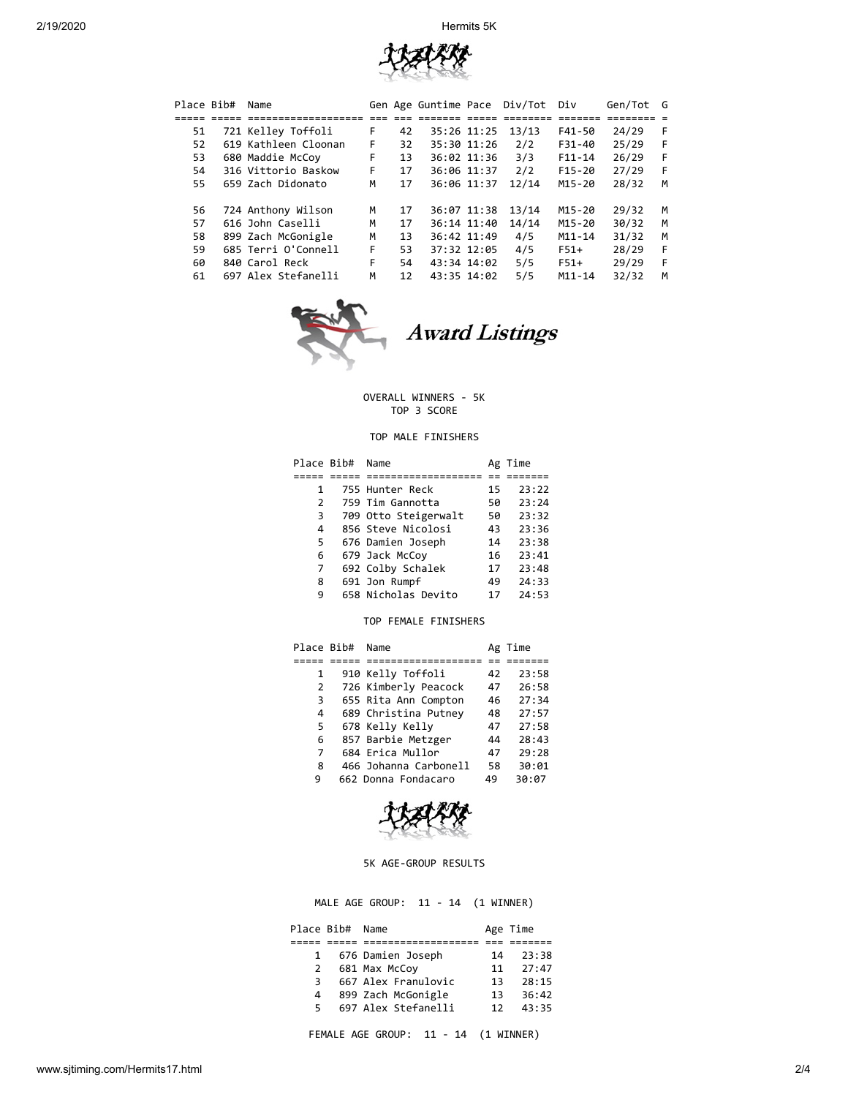2/19/2020 Hermits 5K



| Place Bib# | Name                 |    |    | Gen Age Guntime Pace |             | Div/Tot | Div        | Gen/Tot | G |  |
|------------|----------------------|----|----|----------------------|-------------|---------|------------|---------|---|--|
|            |                      |    |    |                      |             |         |            |         |   |  |
| 51         | 721 Kelley Toffoli   | F. | 42 |                      | 35:26 11:25 | 13/13   | F41-50     | 24/29   | F |  |
| 52         | 619 Kathleen Cloonan | F. | 32 |                      | 35:30 11:26 | 2/2     | F31-40     | 25/29   | F |  |
| 53         | 680 Maddie McCoy     | F. | 13 |                      | 36:02 11:36 | 3/3     | $F11 - 14$ | 26/29   | F |  |
| 54         | 316 Vittorio Baskow  | F. | 17 |                      | 36:06 11:37 | 2/2     | $F15-20$   | 27/29   | F |  |
| 55         | 659 Zach Didonato    | м  | 17 |                      | 36:06 11:37 | 12/14   | M15-20     | 28/32   | M |  |
|            |                      |    |    |                      |             |         |            |         |   |  |
| 56         | 724 Anthony Wilson   | м  | 17 |                      | 36:07 11:38 | 13/14   | M15-20     | 29/32   | M |  |
| 57         | 616 John Caselli     | M  | 17 |                      | 36:14 11:40 | 14/14   | M15-20     | 30/32   | M |  |
| 58         | 899 Zach McGonigle   | M  | 13 |                      | 36:42 11:49 | 4/5     | $M11 - 14$ | 31/32   | M |  |
| 59         | 685 Terri O'Connell  | F. | 53 |                      | 37:32 12:05 | 4/5     | $F51+$     | 28/29   | F |  |
| 60         | 840 Carol Reck       | F. | 54 | 43:34 14:02          |             | 5/5     | $F51+$     | 29/29   | F |  |
| 61         | 697 Alex Stefanelli  | M  | 12 | 43:35 14:02          |             | 5/5     | $M11 - 14$ | 32/32   | M |  |
|            |                      |    |    |                      |             |         |            |         |   |  |



Award Listings

## OVERALL WINNERS - 5K TOP 3 SCORE

# TOP MALE FINISHERS

| Place Bib# | Name                 | Ag | Time  |
|------------|----------------------|----|-------|
|            |                      |    |       |
| 1          | 755 Hunter Reck      | 15 | 23:22 |
| 2          | 759 Tim Gannotta     | 50 | 23:24 |
| 3          | 709 Otto Steigerwalt | 50 | 23:32 |
| 4          | 856 Steve Nicolosi   | 43 | 23:36 |
| 5          | 676 Damien Joseph    | 14 | 23:38 |
| 6          | 679 Jack McCoy       | 16 | 23:41 |
| 7          | 692 Colby Schalek    | 17 | 23:48 |
| 8          | 691 Jon Rumpf        | 49 | 24:33 |
| 9          | 658 Nicholas Devito  | 17 | 24:53 |

## TOP FEMALE FINISHERS

| Place Bib# | Name                  | Ag | Time  |
|------------|-----------------------|----|-------|
|            |                       |    |       |
| 1          | 910 Kelly Toffoli     | 42 | 23:58 |
| 2          | 726 Kimberly Peacock  | 47 | 26:58 |
| 3          | 655 Rita Ann Compton  | 46 | 27:34 |
| 4          | 689 Christina Putney  | 48 | 27:57 |
| 5          | 678 Kelly Kelly       | 47 | 27:58 |
| 6          | 857 Barbie Metzger    | 44 | 28:43 |
| 7          | 684 Erica Mullor      | 47 | 29:28 |
| 8          | 466 Johanna Carbonell | 58 | 30:01 |
| 9          | 662 Donna Fondacaro   | 49 | 30:07 |



5K AGE-GROUP RESULTS

MALE AGE GROUP: 11 - 14 (1 WINNER)

|   | Place Bib# Name |                     |    | Age Time |
|---|-----------------|---------------------|----|----------|
|   |                 |                     |    |          |
|   |                 | 676 Damien Joseph   | 14 | 23:38    |
| 2 |                 | 681 Max McCoy       | 11 | 27:47    |
| 3 |                 | 667 Alex Franulovic | 13 | 28:15    |
| 4 |                 | 899 Zach McGonigle  | 13 | 36:42    |
| 5 |                 | 697 Alex Stefanelli | 12 | 43:35    |

FEMALE AGE GROUP: 11 - 14 (1 WINNER)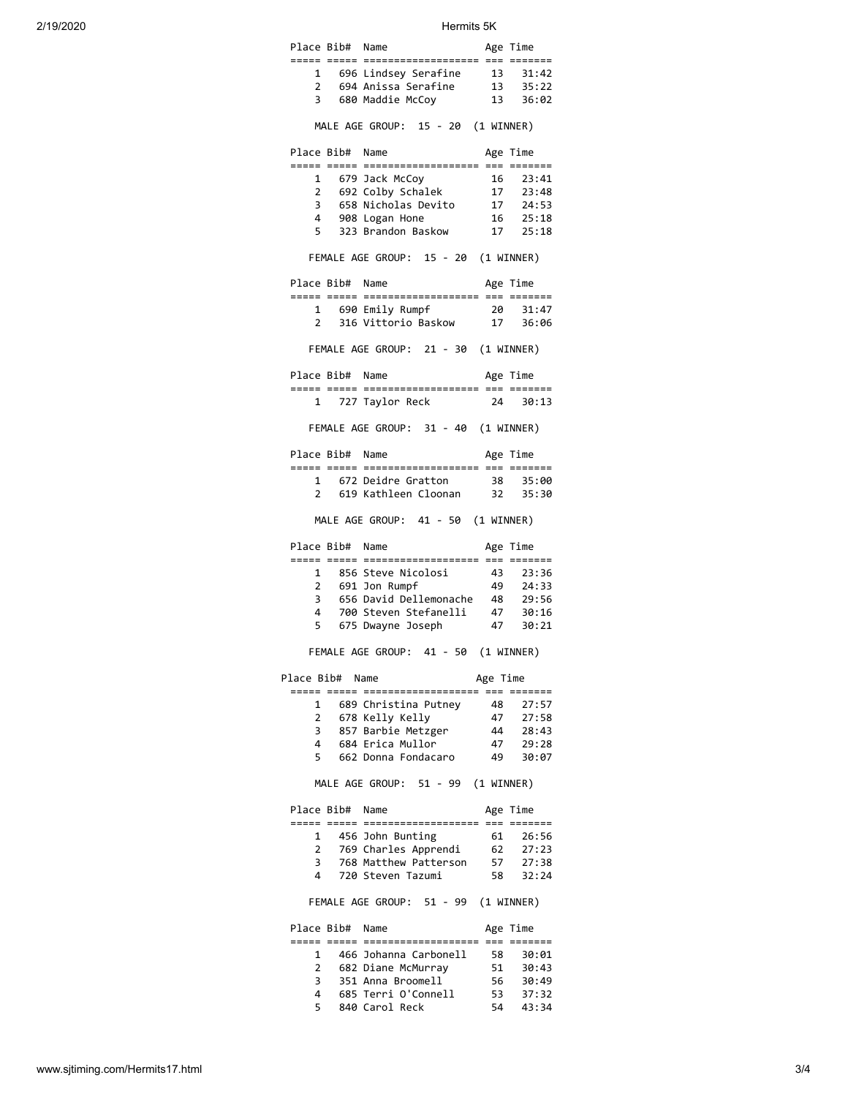| 2/19/2020 |                      |             | Hermits 5K                           |            |                   |
|-----------|----------------------|-------------|--------------------------------------|------------|-------------------|
|           | Place Bib# Name      |             |                                      |            | Age Time          |
|           |                      |             | 1 696 Lindsey Serafine               | 13         | 31:42             |
|           | $\overline{2}$       |             | 694 Anissa Serafine                  | 13         | 35:22             |
|           | 3                    |             | 680 Maddie McCoy                     | 13         | 36:02             |
|           |                      |             | MALE AGE GROUP: 15 - 20 (1 WINNER)   |            |                   |
|           | Place Bib# Name      |             |                                      |            | Age Time          |
|           |                      | 1           | 679 Jack McCoy                       | 16         | 23:41             |
|           |                      | $2^{\circ}$ | 692 Colby Schalek                    | 17         | 23:48             |
|           | 3                    |             | 658 Nicholas Devito                  | 17         | 24:53             |
|           | $\overline{4}$<br>5. |             | 908 Logan Hone<br>323 Brandon Baskow | 17         | 16 25:18<br>25:18 |
|           |                      |             | FEMALE AGE GROUP: 15 - 20 (1 WINNER) |            |                   |
|           |                      |             |                                      |            |                   |
|           | Place Bib# Name      |             |                                      |            | Age Time          |
|           |                      |             | 1 690 Emily Rumpf                    | 20         | 31:47             |
|           | $\overline{2}$       |             | 316 Vittorio Baskow                  | 17         | 36:06             |
|           |                      |             | FEMALE AGE GROUP: 21 - 30 (1 WINNER) |            |                   |
|           | Place Bib# Name      |             |                                      |            | Age Time          |
|           | $\mathbf{1}$         |             | 727 Taylor Reck                      | 24         | 30:13             |
|           |                      |             | FEMALE AGE GROUP: 31 - 40 (1 WINNER) |            |                   |
|           | Place Bib# Name      |             |                                      |            | Age Time          |
|           | 1                    |             | 672 Deidre Gratton                   | 38         | 35:00             |
|           | 2                    |             | 619 Kathleen Cloonan 32              |            | 35:30             |
|           |                      |             | MALE AGE GROUP: 41 - 50 (1 WINNER)   |            |                   |
|           | Place Bib# Name      |             |                                      |            | Age Time          |
|           |                      | 1           | 856 Steve Nicolosi                   | 43         | 23:36             |
|           | $2^{\circ}$          |             | 691 Jon Rumpf                        | 49         | 24:33             |
|           | 3                    |             | 656 David Dellemonache               | - 48       | 29:56             |
|           | 4                    |             | 700 Steven Stefanelli                | 47         | 30:16             |
|           | 5                    |             | 675 Dwayne Joseph                    | 47         | 30:21             |
|           |                      |             | FEMALE AGE GROUP: 41 - 50 (1 WINNER) |            |                   |
|           | Place Bib# Name      |             |                                      | Age Time   |                   |
|           |                      |             | 689 Christina Putney                 | 48         | 27:57             |
|           | $\mathbf{2}$         |             | 678 Kelly Kelly                      | 47         | 27:58             |
|           | 3                    |             | 857 Barbie Metzger                   | 44         | 28:43             |
|           | $\overline{4}$       |             | 684 Erica Mullor                     | 47         | 29:28             |
|           | 5                    |             | 662 Donna Fondacaro                  | 49         | 30:07             |
|           |                      |             | MALE AGE GROUP: 51 - 99              | (1 WINNER) |                   |
|           | Place Bib# Name      |             |                                      |            | Age Time          |
|           | 1                    |             | 456 John Bunting                     | 61         | 26:56             |
|           | $\mathbf{2}$         |             | 769 Charles Apprendi                 | 62         | 27:23             |
|           | 3                    |             | 768 Matthew Patterson                | 57         | 27:38             |
|           | 4                    |             | 720 Steven Tazumi                    | 58         | 32:24             |
|           |                      |             | FEMALE AGE GROUP: 51 - 99            |            | (1 WINNER)        |
|           | Place Bib#           |             | Name                                 |            | Age Time          |
|           | $\mathbf{1}$         |             | 466 Johanna Carbonell                | 58         | 30:01             |
|           | $\overline{2}$       |             | 682 Diane McMurray                   | 51         | 30:43             |
|           | 3                    |             | 351 Anna Broomell                    | 56         | 30:49             |
|           | 4                    |             | 685 Terri O'Connell                  | 53         | 37:32             |
|           | 5                    |             | 840 Carol Reck                       | 54         | 43:34             |